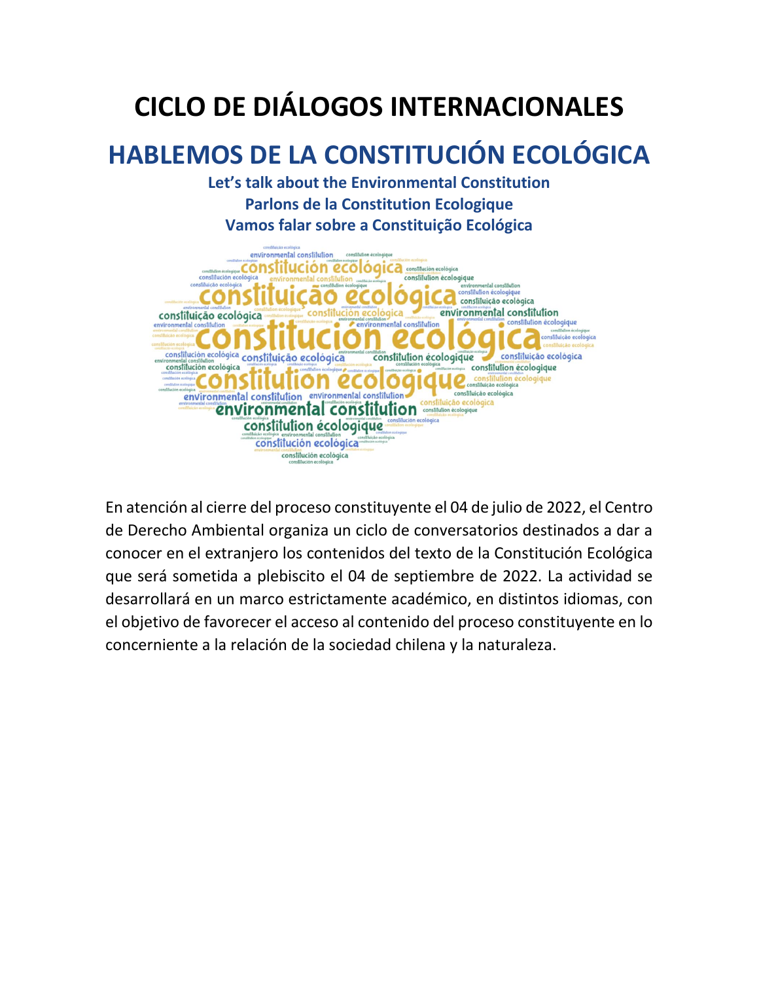# **CICLO DE DIÁLOGOS INTERNACIONALES**

# **HABLEMOS DE LA CONSTITUCIÓN ECOLÓGICA**

**Let's talk about the Environmental Constitution Parlons de la Constitution Ecologique Vamos falar sobre a Constituição Ecológica**



En atención al cierre del proceso constituyente el 04 de julio de 2022, el Centro de Derecho Ambiental organiza un ciclo de conversatorios destinados a dar a conocer en el extranjero los contenidos del texto de la Constitución Ecológica que será sometida a plebiscito el 04 de septiembre de 2022. La actividad se desarrollará en un marco estrictamente académico, en distintos idiomas, con el objetivo de favorecer el acceso al contenido del proceso constituyente en lo concerniente a la relación de la sociedad chilena y la naturaleza.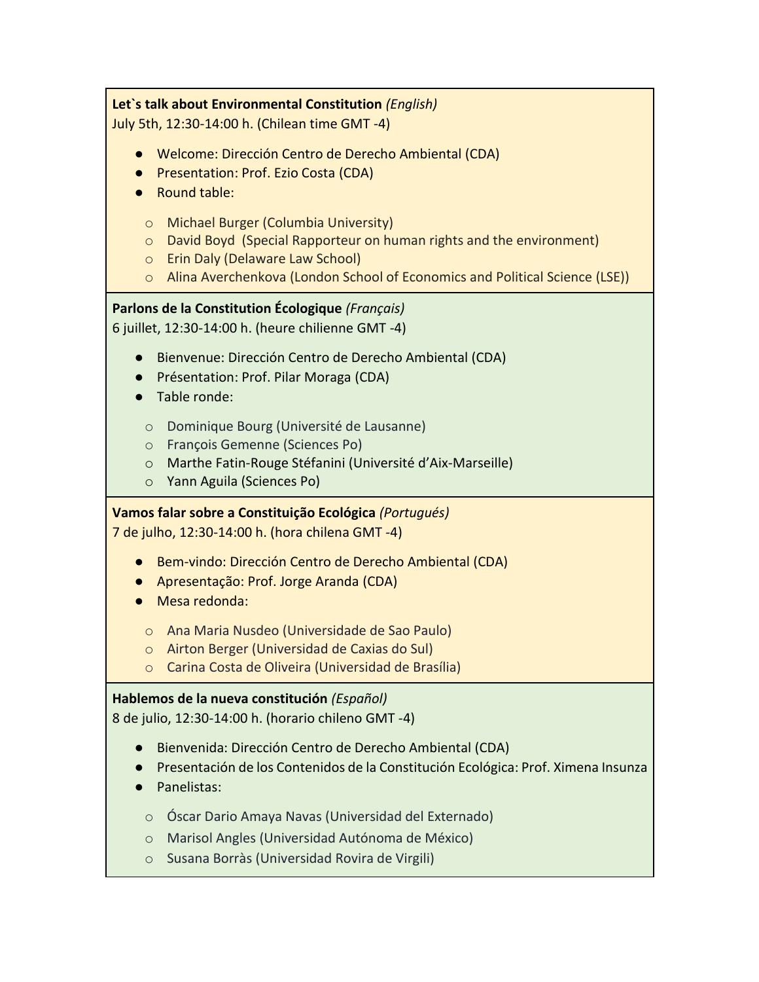## **Let`s talk about Environmental Constitution** *(English)*

July 5th, 12:30-14:00 h. (Chilean time GMT -4)

- Welcome: Dirección Centro de Derecho Ambiental (CDA)
- Presentation: Prof. Ezio Costa (CDA)
- Round table:
	- o Michael Burger (Columbia University)
	- o David Boyd (Special Rapporteur on human rights and the environment)
	- o Erin Daly (Delaware Law School)
	- o Alina Averchenkova (London School of Economics and Political Science (LSE))

# **Parlons de la Constitution Écologique** *(Français)*

6 juillet, 12:30-14:00 h. (heure chilienne GMT -4)

- Bienvenue: Dirección Centro de Derecho Ambiental (CDA)
- Présentation: Prof. Pilar Moraga (CDA)
- Table ronde:
	- o Dominique Bourg (Université de Lausanne)
	- o François Gemenne (Sciences Po)
	- o Marthe Fatin-Rouge Stéfanini (Université d'Aix-Marseille)
	- o Yann Aguila (Sciences Po)

**Vamos falar sobre a Constituição Ecológica** *(Portugués)*

7 de julho, 12:30-14:00 h. (hora chilena GMT -4)

- Bem-vindo: Dirección Centro de Derecho Ambiental (CDA)
- Apresentação: Prof. Jorge Aranda (CDA)
- Mesa redonda:
	- o Ana Maria Nusdeo (Universidade de Sao Paulo)
	- o Airton Berger (Universidad de Caxias do Sul)
	- o Carina Costa de Oliveira (Universidad de Brasília)

# **Hablemos de la nueva constitución** *(Español)*

8 de julio, 12:30-14:00 h. (horario chileno GMT -4)

- Bienvenida: Dirección Centro de Derecho Ambiental (CDA)
- Presentación de los Contenidos de la Constitución Ecológica: Prof. Ximena Insunza
- Panelistas:
	- o Óscar Dario Amaya Navas (Universidad del Externado)
	- o Marisol Angles (Universidad Autónoma de México)
	- o Susana Borràs (Universidad Rovira de Virgili)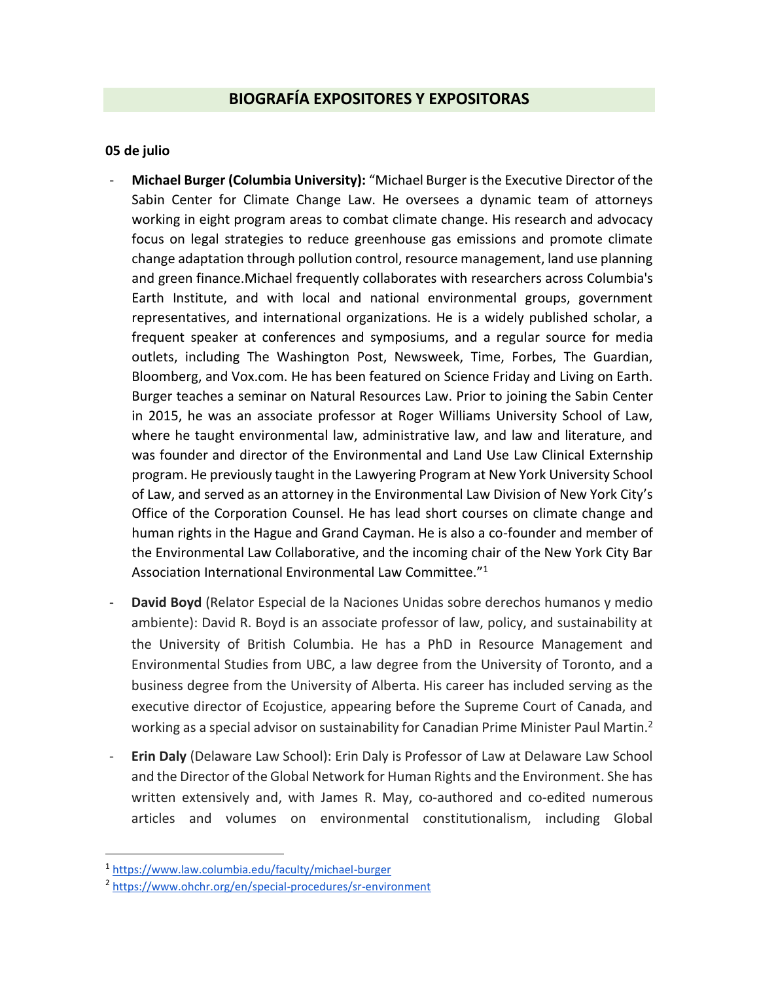# **BIOGRAFÍA EXPOSITORES Y EXPOSITORAS**

#### **05 de julio**

- **Michael Burger (Columbia University):** "Michael Burger is the Executive Director of the Sabin Center for Climate Change Law. He oversees a dynamic team of attorneys working in eight program areas to combat climate change. His research and advocacy focus on legal strategies to reduce greenhouse gas emissions and promote climate change adaptation through pollution control, resource management, land use planning and green finance.Michael frequently collaborates with researchers across Columbia's Earth Institute, and with local and national environmental groups, government representatives, and international organizations. He is a widely published scholar, a frequent speaker at conferences and symposiums, and a regular source for media outlets, including The Washington Post, Newsweek, Time, Forbes, The Guardian, Bloomberg, and Vox.com. He has been featured on Science Friday and Living on Earth. Burger teaches a seminar on Natural Resources Law. Prior to joining the Sabin Center in 2015, he was an associate professor at Roger Williams University School of Law, where he taught environmental law, administrative law, and law and literature, and was founder and director of the Environmental and Land Use Law Clinical Externship program. He previously taught in the Lawyering Program at New York University School of Law, and served as an attorney in the Environmental Law Division of New York City's Office of the Corporation Counsel. He has lead short courses on climate change and human rights in the Hague and Grand Cayman. He is also a co-founder and member of the Environmental Law Collaborative, and the incoming chair of the New York City Bar Association International Environmental Law Committee."<sup>1</sup>
- **David Boyd** (Relator Especial de la Naciones Unidas sobre derechos humanos y medio ambiente): David R. Boyd is an associate professor of law, policy, and sustainability at the University of British Columbia. He has a PhD in Resource Management and Environmental Studies from UBC, a law degree from the University of Toronto, and a business degree from the University of Alberta. His career has included serving as the executive director of Ecojustice, appearing before the Supreme Court of Canada, and working as a special advisor on sustainability for Canadian Prime Minister Paul Martin.<sup>2</sup>
- **Erin Daly** (Delaware Law School): Erin Daly is Professor of Law at Delaware Law School and the Director of the Global Network for Human Rights and the Environment. She has written extensively and, with James R. May, co-authored and co-edited numerous articles and volumes on environmental constitutionalism, including Global

 $\overline{a}$ 

<sup>1</sup> <https://www.law.columbia.edu/faculty/michael-burger>

<sup>&</sup>lt;sup>2</sup> <https://www.ohchr.org/en/special-procedures/sr-environment>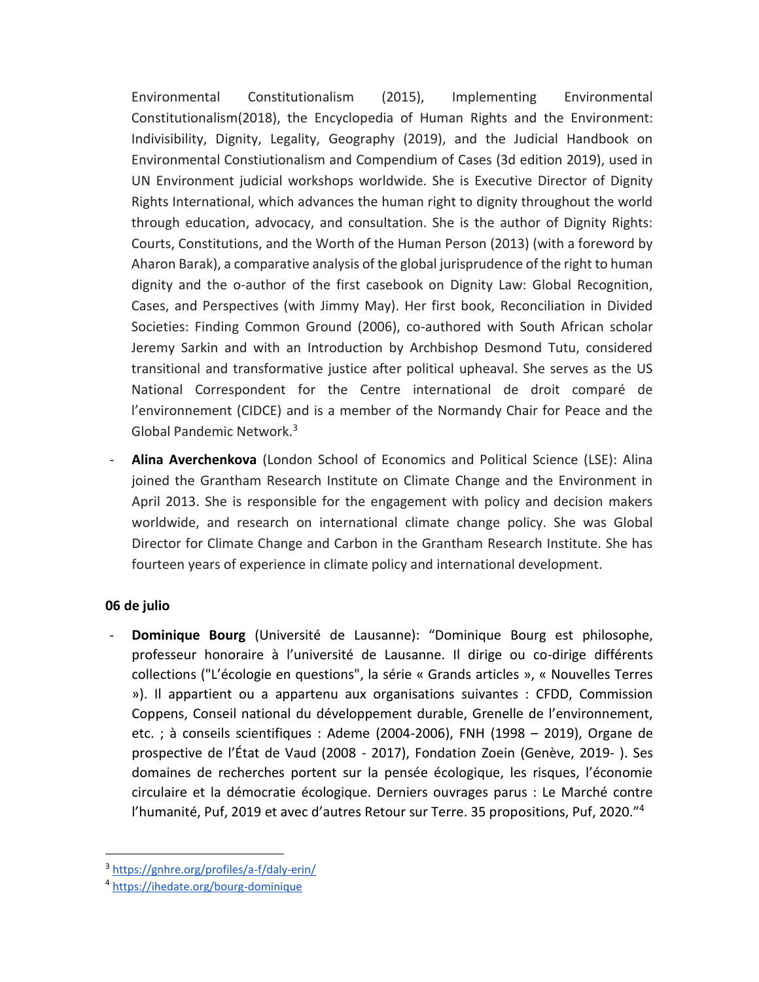Environmental Constitutionalism (2015), Implementing Environmental Constitutionalism(2018), the Encyclopedia of Human Rights and the Environment: Indivisibility, Dignity, Legality, Geography (2019), and the Judicial Handbook on Environmental Constiutionalism and Compendium of Cases (3d edition 2019), used in UN Environment judicial workshops worldwide. She is Executive Director of Dignity Rights International, which advances the human right to dignity throughout the world through education, advocacy, and consultation. She is the author of Dignity Rights: Courts, Constitutions, and the Worth of the Human Person (2013) (with a foreword by Aharon Barak), a comparative analysis of the global jurisprudence of the right to human dignity and the o-author of the first casebook on Dignity Law: Global Recognition, Cases, and Perspectives (with Jimmy May). Her first book, Reconciliation in Divided Societies: Finding Common Ground (2006), co-authored with South African scholar Jeremy Sarkin and with an Introduction by Archbishop Desmond Tutu, considered transitional and transformative justice after political upheaval. She serves as the US National Correspondent for the Centre international de droit comparé de l'environnement (CIDCE) and is a member of the Normandy Chair for Peace and the Global Pandemic Network.<sup>3</sup>

- **Alina Averchenkova** (London School of Economics and Political Science (LSE): Alina joined the Grantham Research Institute on Climate Change and the Environment in April 2013. She is responsible for the engagement with policy and decision makers worldwide, and research on international climate change policy. She was Global Director for Climate Change and Carbon in the Grantham Research Institute. She has fourteen years of experience in climate policy and international development.

## **06 de julio**

 $\overline{a}$ 

- **Dominique Bourg** (Université de Lausanne): "Dominique Bourg est philosophe, professeur honoraire à l'université de Lausanne. Il dirige ou co-dirige différents collections ("L'écologie en questions", la série « Grands articles », « Nouvelles Terres »). Il appartient ou a appartenu aux organisations suivantes : CFDD, Commission Coppens, Conseil national du développement durable, Grenelle de l'environnement, etc. ; à conseils scientifiques : Ademe (2004-2006), FNH (1998 – 2019), Organe de prospective de l'État de Vaud (2008 - 2017), Fondation Zoein (Genève, 2019- ). Ses domaines de recherches portent sur la pensée écologique, les risques, l'économie circulaire et la démocratie écologique. Derniers ouvrages parus : Le Marché contre l'humanité, Puf, 2019 et avec d'autres Retour sur Terre. 35 propositions, Puf, 2020."<sup>4</sup>

<sup>3</sup> <https://gnhre.org/profiles/a-f/daly-erin/>

<sup>4</sup> <https://ihedate.org/bourg-dominique>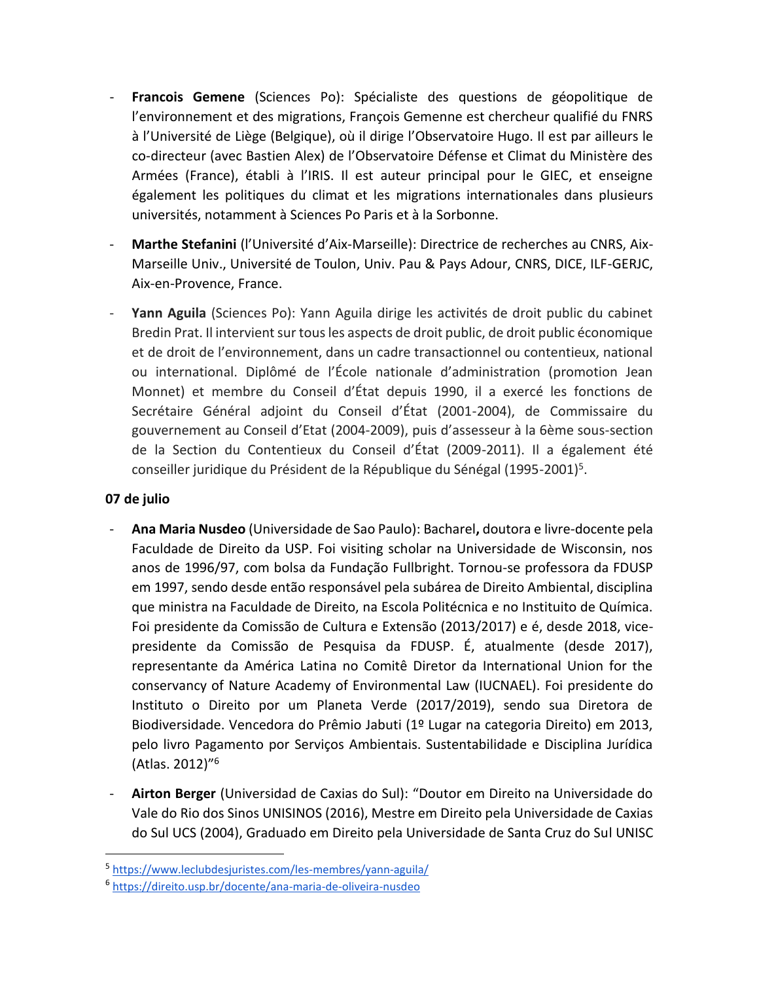- **Francois Gemene** (Sciences Po): Spécialiste des questions de géopolitique de l'environnement et des migrations, François Gemenne est chercheur qualifié du FNRS à l'Université de Liège (Belgique), où il dirige l'Observatoire Hugo. Il est par ailleurs le co-directeur (avec Bastien Alex) de l'Observatoire Défense et Climat du Ministère des Armées (France), établi à l'IRIS. Il est auteur principal pour le GIEC, et enseigne également les politiques du climat et les migrations internationales dans plusieurs universités, notamment à Sciences Po Paris et à la Sorbonne.
- **Marthe Stefanini** (l'Université d'Aix-Marseille): Directrice de recherches au CNRS, Aix-Marseille Univ., Université de Toulon, Univ. Pau & Pays Adour, CNRS, DICE, ILF-GERJC, Aix-en-Provence, France.
- Yann Aguila (Sciences Po): Yann Aguila dirige les activités de droit public du cabinet Bredin Prat. Il intervient sur tous les aspects de droit public, de droit public économique et de droit de l'environnement, dans un cadre transactionnel ou contentieux, national ou international. Diplômé de l'École nationale d'administration (promotion Jean Monnet) et membre du Conseil d'État depuis 1990, il a exercé les fonctions de Secrétaire Général adjoint du Conseil d'État (2001-2004), de Commissaire du gouvernement au Conseil d'Etat (2004-2009), puis d'assesseur à la 6ème sous-section de la Section du Contentieux du Conseil d'État (2009-2011). Il a également été conseiller juridique du Président de la République du Sénégal (1995-2001)<sup>5</sup>.

## **07 de julio**

 $\overline{a}$ 

- **Ana Maria Nusdeo** (Universidade de Sao Paulo): Bacharel**,** doutora e livre-docente pela Faculdade de Direito da USP. Foi visiting scholar na Universidade de Wisconsin, nos anos de 1996/97, com bolsa da Fundação Fullbright. Tornou-se professora da FDUSP em 1997, sendo desde então responsável pela subárea de Direito Ambiental, disciplina que ministra na Faculdade de Direito, na Escola Politécnica e no Instituito de Química. Foi presidente da Comissão de Cultura e Extensão (2013/2017) e é, desde 2018, vicepresidente da Comissão de Pesquisa da FDUSP. É, atualmente (desde 2017), representante da América Latina no Comitê Diretor da International Union for the conservancy of Nature Academy of Environmental Law (IUCNAEL). Foi presidente do Instituto o Direito por um Planeta Verde (2017/2019), sendo sua Diretora de Biodiversidade. Vencedora do Prêmio Jabuti (1º Lugar na categoria Direito) em 2013, pelo livro Pagamento por Serviços Ambientais. Sustentabilidade e Disciplina Jurídica (Atlas. 2012)"<sup>6</sup>
- **Airton Berger** (Universidad de Caxias do Sul): "Doutor em Direito na Universidade do Vale do Rio dos Sinos UNISINOS (2016), Mestre em Direito pela Universidade de Caxias do Sul UCS (2004), Graduado em Direito pela Universidade de Santa Cruz do Sul UNISC

<sup>5</sup> <https://www.leclubdesjuristes.com/les-membres/yann-aguila/>

<sup>6</sup> <https://direito.usp.br/docente/ana-maria-de-oliveira-nusdeo>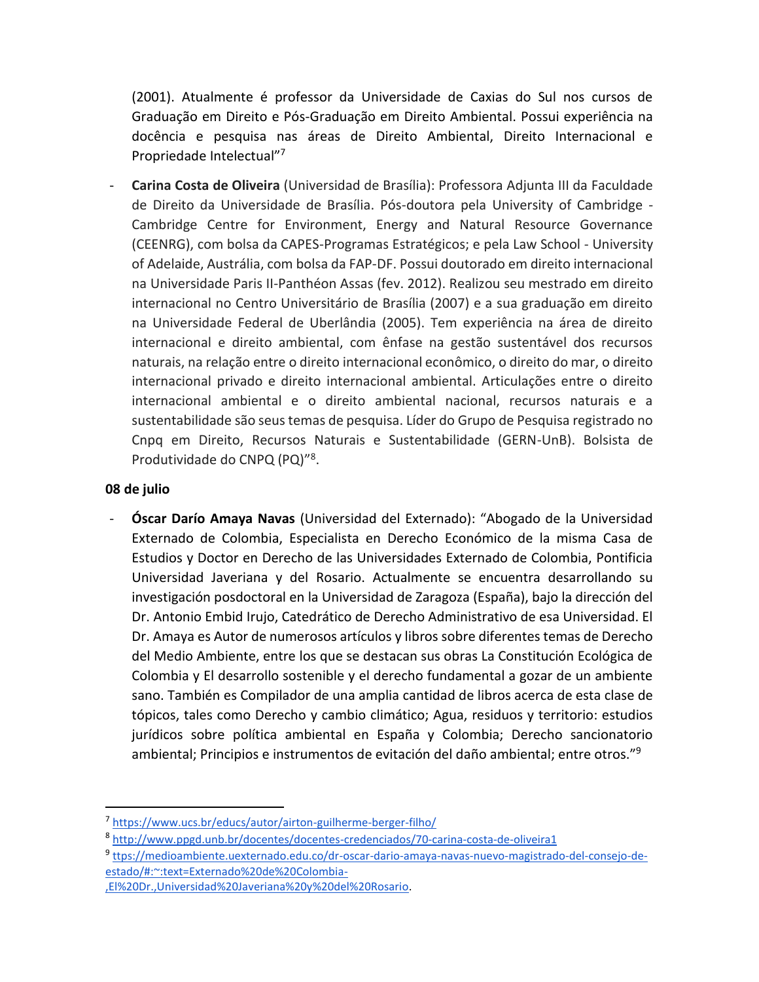(2001). Atualmente é professor da Universidade de Caxias do Sul nos cursos de Graduação em Direito e Pós-Graduação em Direito Ambiental. Possui experiência na docência e pesquisa nas áreas de Direito Ambiental, Direito Internacional e Propriedade Intelectual"<sup>7</sup>

- **Carina Costa de Oliveira** (Universidad de Brasília): Professora Adjunta III da Faculdade de Direito da Universidade de Brasília. Pós-doutora pela University of Cambridge - Cambridge Centre for Environment, Energy and Natural Resource Governance (CEENRG), com bolsa da CAPES-Programas Estratégicos; e pela Law School - University of Adelaide, Austrália, com bolsa da FAP-DF. Possui doutorado em direito internacional na Universidade Paris II-Panthéon Assas (fev. 2012). Realizou seu mestrado em direito internacional no Centro Universitário de Brasília (2007) e a sua graduação em direito na Universidade Federal de Uberlândia (2005). Tem experiência na área de direito internacional e direito ambiental, com ênfase na gestão sustentável dos recursos naturais, na relação entre o direito internacional econômico, o direito do mar, o direito internacional privado e direito internacional ambiental. Articulações entre o direito internacional ambiental e o direito ambiental nacional, recursos naturais e a sustentabilidade são seus temas de pesquisa. Líder do Grupo de Pesquisa registrado no Cnpq em Direito, Recursos Naturais e Sustentabilidade (GERN-UnB). Bolsista de Produtividade do CNPQ (PQ)"<sup>8</sup> .

#### **08 de julio**

 $\ddot{\phantom{a}}$ 

- **Óscar Darío Amaya Navas** (Universidad del Externado): "Abogado de la Universidad Externado de Colombia, Especialista en Derecho Económico de la misma Casa de Estudios y Doctor en Derecho de las Universidades Externado de Colombia, Pontificia Universidad Javeriana y del Rosario. Actualmente se encuentra desarrollando su investigación posdoctoral en la Universidad de Zaragoza (España), bajo la dirección del Dr. Antonio Embid Irujo, Catedrático de Derecho Administrativo de esa Universidad. El Dr. Amaya es Autor de numerosos artículos y libros sobre diferentes temas de Derecho del Medio Ambiente, entre los que se destacan sus obras La Constitución Ecológica de Colombia y El desarrollo sostenible y el derecho fundamental a gozar de un ambiente sano. También es Compilador de una amplia cantidad de libros acerca de esta clase de tópicos, tales como Derecho y cambio climático; Agua, residuos y territorio: estudios jurídicos sobre política ambiental en España y Colombia; Derecho sancionatorio ambiental; Principios e instrumentos de evitación del daño ambiental; entre otros."<sup>9</sup>

<sup>7</sup> <https://www.ucs.br/educs/autor/airton-guilherme-berger-filho/>

<sup>8</sup> <http://www.ppgd.unb.br/docentes/docentes-credenciados/70-carina-costa-de-oliveira1>

<sup>9</sup> [ttps://medioambiente.uexternado.edu.co/dr-oscar-dario-amaya-navas-nuevo-magistrado-del-consejo-de](https://medioambiente.uexternado.edu.co/dr-oscar-dario-amaya-navas-nuevo-magistrado-del-consejo-de-estado/#:~:text=Externado%20de%20Colombia-,El%20Dr.,Universidad%20Javeriana%20y%20del%20Rosario)[estado/#:~:text=Externado%20de%20Colombia-](https://medioambiente.uexternado.edu.co/dr-oscar-dario-amaya-navas-nuevo-magistrado-del-consejo-de-estado/#:~:text=Externado%20de%20Colombia-,El%20Dr.,Universidad%20Javeriana%20y%20del%20Rosario)

[<sup>,</sup>El%20Dr.,Universidad%20Javeriana%20y%20del%20Rosario.](https://medioambiente.uexternado.edu.co/dr-oscar-dario-amaya-navas-nuevo-magistrado-del-consejo-de-estado/#:~:text=Externado%20de%20Colombia-,El%20Dr.,Universidad%20Javeriana%20y%20del%20Rosario)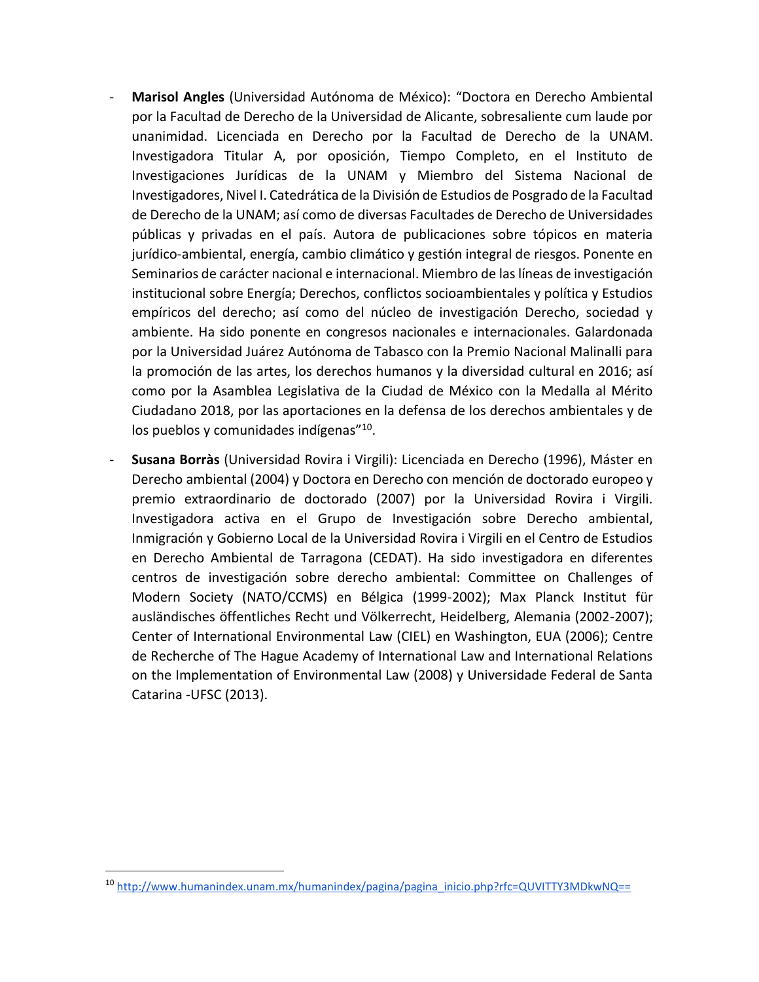- **Marisol Angles** (Universidad Autónoma de México): "Doctora en Derecho Ambiental por la Facultad de Derecho de la Universidad de Alicante, sobresaliente cum laude por unanimidad. Licenciada en Derecho por la Facultad de Derecho de la UNAM. Investigadora Titular A, por oposición, Tiempo Completo, en el Instituto de Investigaciones Jurídicas de la UNAM y Miembro del Sistema Nacional de Investigadores, Nivel I. Catedrática de la División de Estudios de Posgrado de la Facultad de Derecho de la UNAM; así como de diversas Facultades de Derecho de Universidades públicas y privadas en el país. Autora de publicaciones sobre tópicos en materia jurídico-ambiental, energía, cambio climático y gestión integral de riesgos. Ponente en Seminarios de carácter nacional e internacional. Miembro de las líneas de investigación institucional sobre Energía; Derechos, conflictos socioambientales y política y Estudios empíricos del derecho; así como del núcleo de investigación Derecho, sociedad y ambiente. Ha sido ponente en congresos nacionales e internacionales. Galardonada por la Universidad Juárez Autónoma de Tabasco con la Premio Nacional Malinalli para la promoción de las artes, los derechos humanos y la diversidad cultural en 2016; así como por la Asamblea Legislativa de la Ciudad de México con la Medalla al Mérito Ciudadano 2018, por las aportaciones en la defensa de los derechos ambientales y de los pueblos y comunidades indígenas"<sup>10</sup>.
- **Susana Borràs** (Universidad Rovira i Virgili): Licenciada en Derecho (1996), Máster en Derecho ambiental (2004) y Doctora en Derecho con mención de doctorado europeo y premio extraordinario de doctorado (2007) por la Universidad Rovira i Virgili. Investigadora activa en el Grupo de Investigación sobre Derecho ambiental, Inmigración y Gobierno Local de la Universidad Rovira i Virgili en el Centro de Estudios en Derecho Ambiental de Tarragona (CEDAT). Ha sido investigadora en diferentes centros de investigación sobre derecho ambiental: Committee on Challenges of Modern Society (NATO/CCMS) en Bélgica (1999-2002); Max Planck Institut für ausländisches öffentliches Recht und Völkerrecht, Heidelberg, Alemania (2002-2007); Center of International Environmental Law (CIEL) en Washington, EUA (2006); Centre de Recherche of The Hague Academy of International Law and International Relations on the Implementation of Environmental Law (2008) y Universidade Federal de Santa Catarina -UFSC (2013).

 $\overline{a}$ 

<sup>&</sup>lt;sup>10</sup> [http://www.humanindex.unam.mx/humanindex/pagina/pagina\\_inicio.php?rfc=QUVITTY3MDkwNQ==](http://www.humanindex.unam.mx/humanindex/pagina/pagina_inicio.php?rfc=QUVITTY3MDkwNQ==)